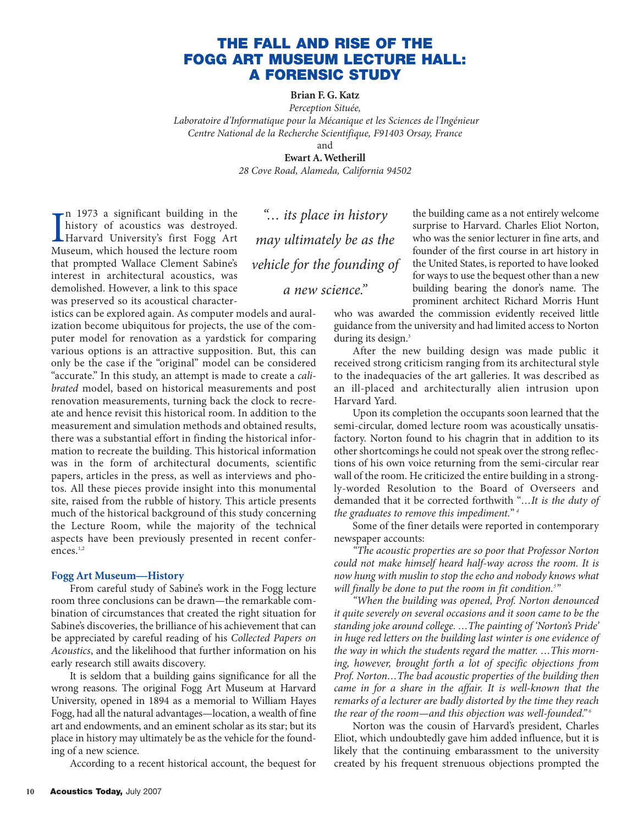# **THE FALL AND RISE OF THE FOGG ART MUSEUM LECTURE HALL: A FORENSIC STUDY**

**Brian F. G. Katz**

*Perception Située, Laboratoire d'Informatique pour la Mécanique et les Sciences de l'Ingénieur Centre National de la Recherche Scientifique, F91403 Orsay, France*

and

**Ewart A. Wetherill** *28 Cove Road, Alameda, California 94502*

I<sub>Mu</sub> n 1973 a significant building in the history of acoustics was destroyed. Harvard University's first Fogg Art Museum, which housed the lecture room that prompted Wallace Clement Sabine's interest in architectural acoustics, was demolished. However, a link to this space was preserved so its acoustical character-

*"… its place in history may ultimately be as the vehicle for the founding of a new science."*

istics can be explored again. As computer models and auralization become ubiquitous for projects, the use of the computer model for renovation as a yardstick for comparing various options is an attractive supposition. But, this can only be the case if the "original" model can be considered "accurate." In this study, an attempt is made to create a *calibrated* model, based on historical measurements and post renovation measurements, turning back the clock to recreate and hence revisit this historical room. In addition to the measurement and simulation methods and obtained results, there was a substantial effort in finding the historical information to recreate the building. This historical information was in the form of architectural documents, scientific papers, articles in the press, as well as interviews and photos. All these pieces provide insight into this monumental site, raised from the rubble of history. This article presents much of the historical background of this study concerning the Lecture Room, while the majority of the technical aspects have been previously presented in recent conferences.<sup>1,2</sup>

## **Fogg Art Museum—History**

From careful study of Sabine's work in the Fogg lecture room three conclusions can be drawn—the remarkable combination of circumstances that created the right situation for Sabine's discoveries, the brilliance of his achievement that can be appreciated by careful reading of his *Collected Papers on Acoustics*, and the likelihood that further information on his early research still awaits discovery.

It is seldom that a building gains significance for all the wrong reasons. The original Fogg Art Museum at Harvard University, opened in 1894 as a memorial to William Hayes Fogg, had all the natural advantages—location, a wealth of fine art and endowments, and an eminent scholar as its star; but its place in history may ultimately be as the vehicle for the founding of a new science.

According to a recent historical account, the bequest for

the building came as a not entirely welcome surprise to Harvard. Charles Eliot Norton, who was the senior lecturer in fine arts, and founder of the first course in art history in the United States, is reported to have looked for ways to use the bequest other than a new building bearing the donor's name. The prominent architect Richard Morris Hunt

who was awarded the commission evidently received little guidance from the university and had limited access to Norton during its design.<sup>3</sup>

After the new building design was made public it received strong criticism ranging from its architectural style to the inadequacies of the art galleries. It was described as an ill-placed and architecturally alien intrusion upon Harvard Yard.

Upon its completion the occupants soon learned that the semi-circular, domed lecture room was acoustically unsatisfactory. Norton found to his chagrin that in addition to its other shortcomings he could not speak over the strong reflections of his own voice returning from the semi-circular rear wall of the room. He criticized the entire building in a strongly-worded Resolution to the Board of Overseers and demanded that it be corrected forthwith "*…It is the duty of the graduates to remove this impediment.*" *<sup>4</sup>*

Some of the finer details were reported in contemporary newspaper accounts:

*"The acoustic properties are so poor that Professor Norton could not make himself heard half-way across the room. It is now hung with muslin to stop the echo and nobody knows what will finally be done to put the room in fit condition.<sup>5</sup> "*

*"When the building was opened, Prof. Norton denounced it quite severely on several occasions and it soon came to be the standing joke around college. …The painting of 'Norton's Pride' in huge red letters on the building last winter is one evidence of the way in which the students regard the matter. …This morning, however, brought forth a lot of specific objections from Prof. Norton…The bad acoustic properties of the building then came in for a share in the affair. It is well-known that the remarks of a lecturer are badly distorted by the time they reach the rear of the room—and this objection was well-founded." <sup>6</sup>*

Norton was the cousin of Harvard's president, Charles Eliot, which undoubtedly gave him added influence, but it is likely that the continuing embarassment to the university created by his frequent strenuous objections prompted the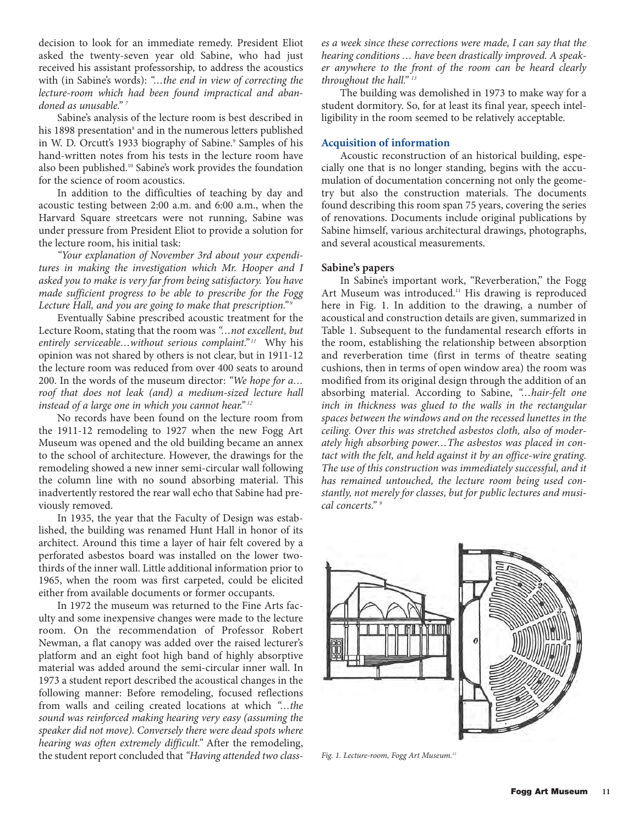decision to look for an immediate remedy. President Eliot asked the twenty-seven year old Sabine, who had just received his assistant professorship, to address the acoustics with (in Sabine's words): *"…the end in view of correcting the lecture-room which had been found impractical and abandoned as unusable." <sup>7</sup>*

Sabine's analysis of the lecture room is best described in his 1898 presentation<sup>8</sup> and in the numerous letters published in W. D. Orcutt's 1933 biography of Sabine.<sup>9</sup> Samples of his hand-written notes from his tests in the lecture room have also been published.10 Sabine's work provides the foundation for the science of room acoustics.

In addition to the difficulties of teaching by day and acoustic testing between 2:00 a.m. and 6:00 a.m., when the Harvard Square streetcars were not running, Sabine was under pressure from President Eliot to provide a solution for the lecture room, his initial task:

*"Your explanation of November 3rd about your expenditures in making the investigation which Mr. Hooper and I asked you to make is very far from being satisfactory. You have made sufficient progress to be able to prescribe for the Fogg Lecture Hall, and you are going to make that prescription." <sup>9</sup>*

Eventually Sabine prescribed acoustic treatment for the Lecture Room, stating that the room was *"…not excellent, but entirely serviceable…without serious complaint." <sup>11</sup>* Why his opinion was not shared by others is not clear, but in 1911-12 the lecture room was reduced from over 400 seats to around 200. In the words of the museum director: *"We hope for a… roof that does not leak (and) a medium-sized lecture hall instead of a large one in which you cannot hear." <sup>12</sup>*

No records have been found on the lecture room from the 1911-12 remodeling to 1927 when the new Fogg Art Museum was opened and the old building became an annex to the school of architecture. However, the drawings for the remodeling showed a new inner semi-circular wall following the column line with no sound absorbing material. This inadvertently restored the rear wall echo that Sabine had previously removed.

In 1935, the year that the Faculty of Design was established, the building was renamed Hunt Hall in honor of its architect. Around this time a layer of hair felt covered by a perforated asbestos board was installed on the lower twothirds of the inner wall. Little additional information prior to 1965, when the room was first carpeted, could be elicited either from available documents or former occupants.

In 1972 the museum was returned to the Fine Arts faculty and some inexpensive changes were made to the lecture room. On the recommendation of Professor Robert Newman, a flat canopy was added over the raised lecturer's platform and an eight foot high band of highly absorptive material was added around the semi-circular inner wall. In 1973 a student report described the acoustical changes in the following manner: Before remodeling, focused reflections from walls and ceiling created locations at which *"…the sound was reinforced making hearing very easy (assuming the speaker did not move). Conversely there were dead spots where hearing was often extremely difficult."* After the remodeling, the student report concluded that *"Having attended two class-* *es a week since these corrections were made, I can say that the hearing conditions … have been drastically improved. A speaker anywhere to the front of the room can be heard clearly throughout the hall." <sup>13</sup>*

The building was demolished in 1973 to make way for a student dormitory. So, for at least its final year, speech intelligibility in the room seemed to be relatively acceptable.

# **Acquisition of information**

Acoustic reconstruction of an historical building, especially one that is no longer standing, begins with the accumulation of documentation concerning not only the geometry but also the construction materials. The documents found describing this room span 75 years, covering the series of renovations. Documents include original publications by Sabine himself, various architectural drawings, photographs, and several acoustical measurements.

# **Sabine's papers**

In Sabine's important work, "Reverberation," the Fogg Art Museum was introduced.<sup>11</sup> His drawing is reproduced here in Fig. 1. In addition to the drawing, a number of acoustical and construction details are given, summarized in Table 1. Subsequent to the fundamental research efforts in the room, establishing the relationship between absorption and reverberation time (first in terms of theatre seating cushions, then in terms of open window area) the room was modified from its original design through the addition of an absorbing material. According to Sabine, *"…hair-felt one inch in thickness was glued to the walls in the rectangular spaces between the windows and on the recessed lunettes in the ceiling. Over this was stretched asbestos cloth, also of moderately high absorbing power…The asbestos was placed in contact with the felt, and held against it by an office-wire grating. The use of this construction was immediately successful, and it has remained untouched, the lecture room being used constantly, not merely for classes, but for public lectures and musical concerts." <sup>9</sup>*



*Fig. 1. Lecture-room, Fogg Art Museum.11*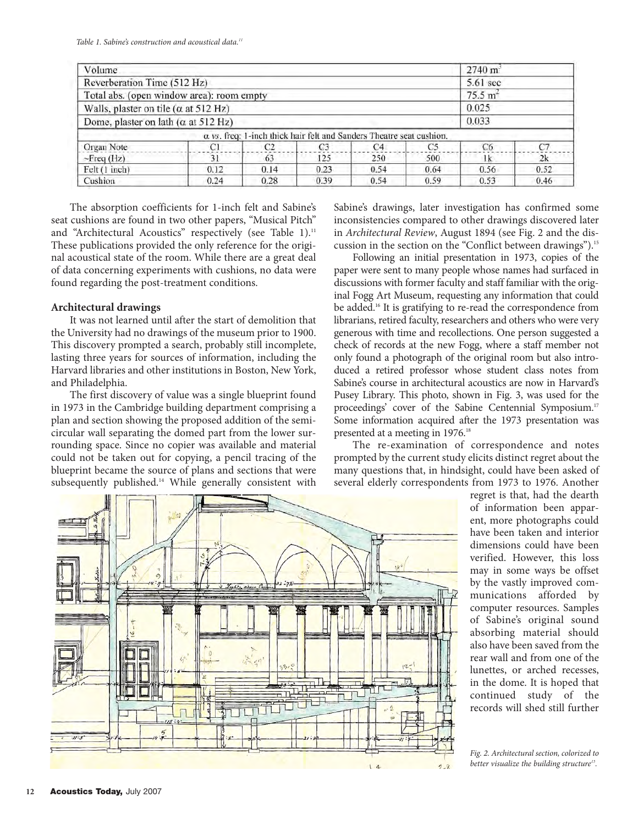| Volume                                       | $2740 \text{ m}^3$  |                |                |                                                                             |      |      |       |  |
|----------------------------------------------|---------------------|----------------|----------------|-----------------------------------------------------------------------------|------|------|-------|--|
| Reverberation Time (512 Hz)                  | $5.61$ sec          |                |                |                                                                             |      |      |       |  |
| Total abs. (open window area): room empty    | 75.5 m <sup>2</sup> |                |                |                                                                             |      |      |       |  |
| Walls, plaster on tile ( $\alpha$ at 512 Hz) |                     |                |                |                                                                             |      |      | 0.025 |  |
| Dome, plaster on lath ( $\alpha$ at 512 Hz)  |                     |                |                |                                                                             |      |      | 0.033 |  |
|                                              |                     |                |                | $\alpha$ vs. freq: 1-inch thick hair felt and Sanders Theatre seat cushion. |      |      |       |  |
| Organ Note                                   | СI                  | C <sub>2</sub> | C <sub>3</sub> | C4                                                                          | C5   | C6   | C7    |  |
| $-$ Freq (Hz)                                | 31                  | 63             | 125            | 250                                                                         | 500  | 1k   | 2k    |  |
| Felt (1 inch)                                | 0.12                | 0.14           | 0.23           | 0.54                                                                        | 0.64 | 0.56 | 0.52  |  |
| Cushion                                      | 0.24                | 0.28           | 0.39           | 0.54                                                                        | 0.59 | 0.53 | 0.46  |  |

The absorption coefficients for 1-inch felt and Sabine's seat cushions are found in two other papers, "Musical Pitch" and "Architectural Acoustics" respectively (see Table 1).<sup>11</sup> These publications provided the only reference for the original acoustical state of the room. While there are a great deal of data concerning experiments with cushions, no data were found regarding the post-treatment conditions.

## **Architectural drawings**

It was not learned until after the start of demolition that the University had no drawings of the museum prior to 1900. This discovery prompted a search, probably still incomplete, lasting three years for sources of information, including the Harvard libraries and other institutions in Boston, New York, and Philadelphia.

The first discovery of value was a single blueprint found in 1973 in the Cambridge building department comprising a plan and section showing the proposed addition of the semicircular wall separating the domed part from the lower surrounding space. Since no copier was available and material could not be taken out for copying, a pencil tracing of the blueprint became the source of plans and sections that were subsequently published.<sup>14</sup> While generally consistent with

Sabine's drawings, later investigation has confirmed some inconsistencies compared to other drawings discovered later in *Architectural Review*, August 1894 (see Fig. 2 and the discussion in the section on the "Conflict between drawings").15

Following an initial presentation in 1973, copies of the paper were sent to many people whose names had surfaced in discussions with former faculty and staff familiar with the original Fogg Art Museum, requesting any information that could be added.<sup>16</sup> It is gratifying to re-read the correspondence from librarians, retired faculty, researchers and others who were very generous with time and recollections. One person suggested a check of records at the new Fogg, where a staff member not only found a photograph of the original room but also introduced a retired professor whose student class notes from Sabine's course in architectural acoustics are now in Harvard's Pusey Library. This photo, shown in Fig. 3, was used for the proceedings' cover of the Sabine Centennial Symposium.<sup>17</sup> Some information acquired after the 1973 presentation was presented at a meeting in 1976.<sup>18</sup>

The re-examination of correspondence and notes prompted by the current study elicits distinct regret about the many questions that, in hindsight, could have been asked of several elderly correspondents from 1973 to 1976. Another



regret is that, had the dearth of information been apparent, more photographs could have been taken and interior dimensions could have been verified. However, this loss may in some ways be offset by the vastly improved communications afforded by computer resources. Samples of Sabine's original sound absorbing material should also have been saved from the rear wall and from one of the lunettes, or arched recesses, in the dome. It is hoped that continued study of the records will shed still further

*Fig. 2. Architectural section, colorized to better visualize the building structure15.*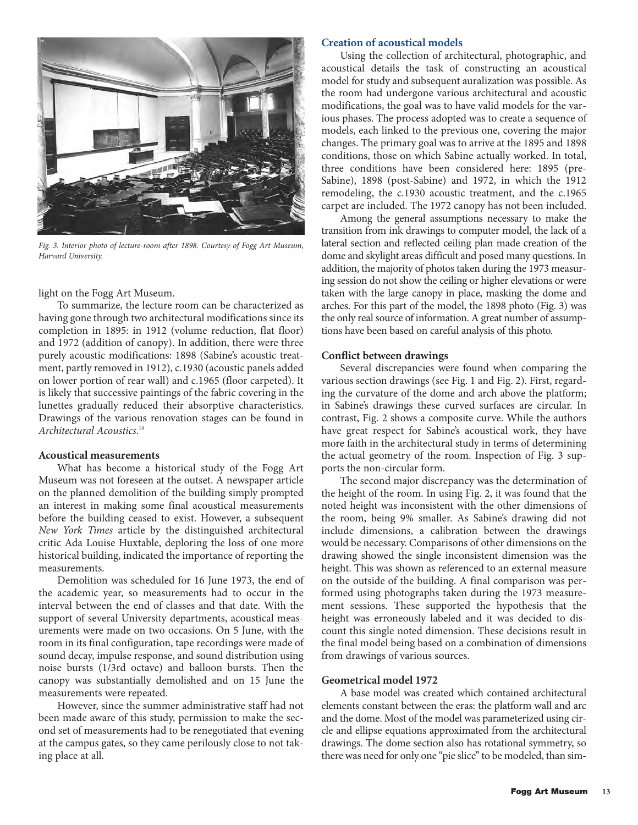

*Fig. 3. Interior photo of lecture-room after 1898. Courtesy of Fogg Art Museum, Harvard University.*

light on the Fogg Art Museum.

To summarize, the lecture room can be characterized as having gone through two architectural modifications since its completion in 1895: in 1912 (volume reduction, flat floor) and 1972 (addition of canopy). In addition, there were three purely acoustic modifications: 1898 (Sabine's acoustic treatment, partly removed in 1912), c.1930 (acoustic panels added on lower portion of rear wall) and c.1965 (floor carpeted). It is likely that successive paintings of the fabric covering in the lunettes gradually reduced their absorptive characteristics. Drawings of the various renovation stages can be found in *Architectural Acoustics*. 14

# **Acoustical measurements**

What has become a historical study of the Fogg Art Museum was not foreseen at the outset. A newspaper article on the planned demolition of the building simply prompted an interest in making some final acoustical measurements before the building ceased to exist. However, a subsequent *New York Times* article by the distinguished architectural critic Ada Louise Huxtable, deploring the loss of one more historical building, indicated the importance of reporting the measurements.

Demolition was scheduled for 16 June 1973, the end of the academic year, so measurements had to occur in the interval between the end of classes and that date. With the support of several University departments, acoustical measurements were made on two occasions. On 5 June, with the room in its final configuration, tape recordings were made of sound decay, impulse response, and sound distribution using noise bursts (1/3rd octave) and balloon bursts. Then the canopy was substantially demolished and on 15 June the measurements were repeated.

However, since the summer administrative staff had not been made aware of this study, permission to make the second set of measurements had to be renegotiated that evening at the campus gates, so they came perilously close to not taking place at all.

# **Creation of acoustical models**

Using the collection of architectural, photographic, and acoustical details the task of constructing an acoustical model for study and subsequent auralization was possible. As the room had undergone various architectural and acoustic modifications, the goal was to have valid models for the various phases. The process adopted was to create a sequence of models, each linked to the previous one, covering the major changes. The primary goal was to arrive at the 1895 and 1898 conditions, those on which Sabine actually worked. In total, three conditions have been considered here: 1895 (pre-Sabine), 1898 (post-Sabine) and 1972, in which the 1912 remodeling, the c.1930 acoustic treatment, and the c.1965 carpet are included. The 1972 canopy has not been included.

Among the general assumptions necessary to make the transition from ink drawings to computer model, the lack of a lateral section and reflected ceiling plan made creation of the dome and skylight areas difficult and posed many questions. In addition, the majority of photos taken during the 1973 measuring session do not show the ceiling or higher elevations or were taken with the large canopy in place, masking the dome and arches. For this part of the model, the 1898 photo (Fig. 3) was the only real source of information. A great number of assumptions have been based on careful analysis of this photo.

# **Conflict between drawings**

Several discrepancies were found when comparing the various section drawings (see Fig. 1 and Fig. 2). First, regarding the curvature of the dome and arch above the platform; in Sabine's drawings these curved surfaces are circular. In contrast, Fig. 2 shows a composite curve. While the authors have great respect for Sabine's acoustical work, they have more faith in the architectural study in terms of determining the actual geometry of the room. Inspection of Fig. 3 supports the non-circular form.

The second major discrepancy was the determination of the height of the room. In using Fig. 2, it was found that the noted height was inconsistent with the other dimensions of the room, being 9% smaller. As Sabine's drawing did not include dimensions, a calibration between the drawings would be necessary. Comparisons of other dimensions on the drawing showed the single inconsistent dimension was the height. This was shown as referenced to an external measure on the outside of the building. A final comparison was performed using photographs taken during the 1973 measurement sessions. These supported the hypothesis that the height was erroneously labeled and it was decided to discount this single noted dimension. These decisions result in the final model being based on a combination of dimensions from drawings of various sources.

# **Geometrical model 1972**

A base model was created which contained architectural elements constant between the eras: the platform wall and arc and the dome. Most of the model was parameterized using circle and ellipse equations approximated from the architectural drawings. The dome section also has rotational symmetry, so there was need for only one "pie slice" to be modeled, than sim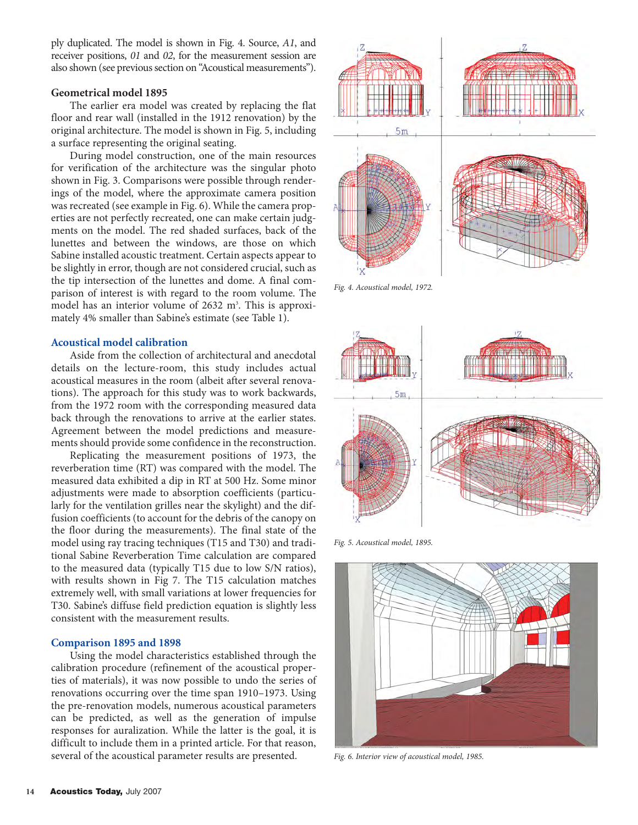ply duplicated. The model is shown in Fig. 4. Source, *A1*, and receiver positions, *01* and *02*, for the measurement session are also shown (see previous section on "Acoustical measurements").

## **Geometrical model 1895**

The earlier era model was created by replacing the flat floor and rear wall (installed in the 1912 renovation) by the original architecture. The model is shown in Fig. 5, including a surface representing the original seating.

During model construction, one of the main resources for verification of the architecture was the singular photo shown in Fig. 3. Comparisons were possible through renderings of the model, where the approximate camera position was recreated (see example in Fig. 6). While the camera properties are not perfectly recreated, one can make certain judgments on the model. The red shaded surfaces, back of the lunettes and between the windows, are those on which Sabine installed acoustic treatment. Certain aspects appear to be slightly in error, though are not considered crucial, such as the tip intersection of the lunettes and dome. A final comparison of interest is with regard to the room volume. The model has an interior volume of 2632 m<sup>3</sup>. This is approximately 4% smaller than Sabine's estimate (see Table 1).

# **Acoustical model calibration**

Aside from the collection of architectural and anecdotal details on the lecture-room, this study includes actual acoustical measures in the room (albeit after several renovations). The approach for this study was to work backwards, from the 1972 room with the corresponding measured data back through the renovations to arrive at the earlier states. Agreement between the model predictions and measurements should provide some confidence in the reconstruction.

Replicating the measurement positions of 1973, the reverberation time (RT) was compared with the model. The measured data exhibited a dip in RT at 500 Hz. Some minor adjustments were made to absorption coefficients (particularly for the ventilation grilles near the skylight) and the diffusion coefficients (to account for the debris of the canopy on the floor during the measurements). The final state of the model using ray tracing techniques (T15 and T30) and traditional Sabine Reverberation Time calculation are compared to the measured data (typically T15 due to low S/N ratios), with results shown in Fig 7. The T15 calculation matches extremely well, with small variations at lower frequencies for T30. Sabine's diffuse field prediction equation is slightly less consistent with the measurement results.

# **Comparison 1895 and 1898**

Using the model characteristics established through the calibration procedure (refinement of the acoustical properties of materials), it was now possible to undo the series of renovations occurring over the time span 1910–1973. Using the pre-renovation models, numerous acoustical parameters can be predicted, as well as the generation of impulse responses for auralization. While the latter is the goal, it is difficult to include them in a printed article. For that reason, several of the acoustical parameter results are presented.



*Fig. 4. Acoustical model, 1972.* 



*Fig. 5. Acoustical model, 1895.* 



*Fig. 6. Interior view of acoustical model, 1985.*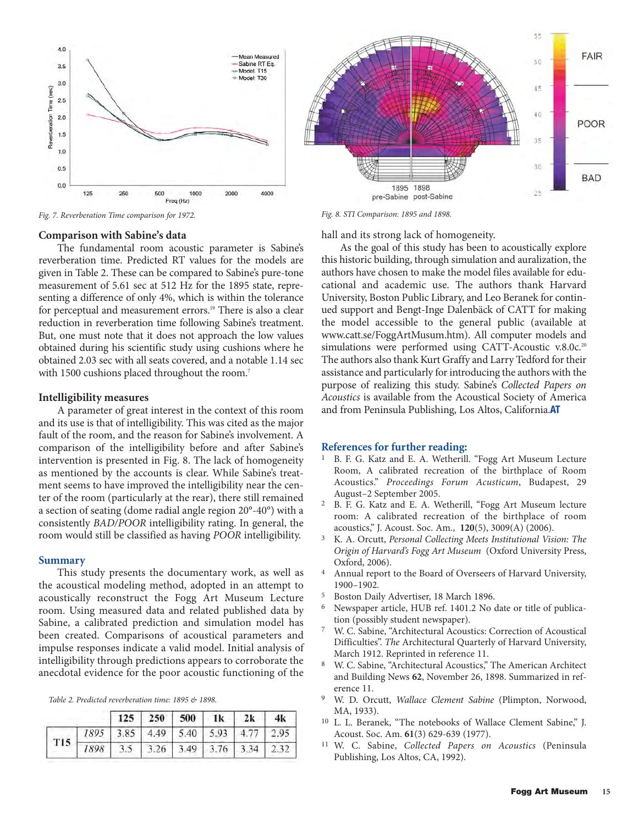

*Fig. 7. Reverberation Time comparison for 1972. Fig. 8. STI Comparison: 1895 and 1898.*

#### **Comparison with Sabine's data**

The fundamental room acoustic parameter is Sabine's reverberation time. Predicted RT values for the models are given in Table 2. These can be compared to Sabine's pure-tone measurement of 5.61 sec at 512 Hz for the 1895 state, representing a difference of only 4%, which is within the tolerance for perceptual and measurement errors.<sup>19</sup> There is also a clear reduction in reverberation time following Sabine's treatment. But, one must note that it does not approach the low values obtained during his scientific study using cushions where he obtained 2.03 sec with all seats covered, and a notable 1.14 sec with 1500 cushions placed throughout the room.<sup>7</sup>

#### **Intelligibility measures**

A parameter of great interest in the context of this room and its use is that of intelligibility. This was cited as the major fault of the room, and the reason for Sabine's involvement. A comparison of the intelligibility before and after Sabine's intervention is presented in Fig. 8. The lack of homogeneity as mentioned by the accounts is clear. While Sabine's treatment seems to have improved the intelligibility near the center of the room (particularly at the rear), there still remained a section of seating (dome radial angle region 20°-40°) with a consistently *BAD/POOR* intelligibility rating. In general, the room would still be classified as having *POOR* intelligibility.

### **Summary**

This study presents the documentary work, as well as the acoustical modeling method, adopted in an attempt to acoustically reconstruct the Fogg Art Museum Lecture room. Using measured data and related published data by Sabine, a calibrated prediction and simulation model has been created. Comparisons of acoustical parameters and impulse responses indicate a valid model. Initial analysis of intelligibility through predictions appears to corroborate the anecdotal evidence for the poor acoustic functioning of the

*Table 2. Predicted reverberation time: 1895 & 1898.*

|                                                                          |  | $125$   250   500   1k   2k   4k |  |  |
|--------------------------------------------------------------------------|--|----------------------------------|--|--|
| T15 1895 3.85 4.49 5.40 5.93 4.77 2.95 1898 3.5 3.26 3.49 3.76 3.34 2.32 |  |                                  |  |  |
|                                                                          |  |                                  |  |  |



hall and its strong lack of homogeneity.

As the goal of this study has been to acoustically explore this historic building, through simulation and auralization, the authors have chosen to make the model files available for educational and academic use. The authors thank Harvard University, Boston Public Library, and Leo Beranek for continued support and Bengt-Inge Dalenbäck of CATT for making the model accessible to the general public (available at www.catt.se/FoggArtMusum.htm). All computer models and simulations were performed using CATT-Acoustic v.8.0c.<sup>20</sup> The authors also thank Kurt Graffy and Larry Tedford for their assistance and particularly for introducing the authors with the purpose of realizing this study. Sabine's *Collected Papers on Acoustics* is available from the Acoustical Society of America and from Peninsula Publishing, Los Altos, California.**AT**

### **References for further reading:**

- <sup>1</sup> B. F. G. Katz and E. A. Wetherill. "Fogg Art Museum Lecture Room, A calibrated recreation of the birthplace of Room Acoustics." *Proceedings Forum Acusticum*, Budapest, 29 August–2 September 2005.
- 2 B. F. G. Katz and E. A. Wetherill, "Fogg Art Museum lecture room: A calibrated recreation of the birthplace of room acoustics," J. Acoust. Soc. Am., **120**(5), 3009(A) (2006).
- 3 K. A. Orcutt, *Personal Collecting Meets Institutional Vision: The Origin of Harvard's Fogg Art Museum* (Oxford University Press, Oxford, 2006).
- 4 Annual report to the Board of Overseers of Harvard University, 1900–1902.
- <sup>5</sup> Boston Daily Advertiser, 18 March 1896.<br><sup>6</sup> Newspaper article HUB ref 1401.2 No.
- Newspaper article, HUB ref. 1401.2 No date or title of publication (possibly student newspaper).
- 7 W. C. Sabine, "Architectural Acoustics: Correction of Acoustical Difficulties". *The* Architectural Quarterly of Harvard University, March 1912. Reprinted in reference 11.
- W. C. Sabine, "Architectural Acoustics," The American Architect and Building News **62**, November 26, 1898. Summarized in reference 11.
- 9 W. D. Orcutt, *Wallace Clement Sabine* (Plimpton, Norwood, MA, 1933).
- <sup>10</sup> L. L. Beranek, "The notebooks of Wallace Clement Sabine," J. Acoust. Soc. Am. **61**(3) 629-639 (1977).
- 11 W. C. Sabine, *Collected Papers on Acoustics* (Peninsula Publishing, Los Altos, CA, 1992).